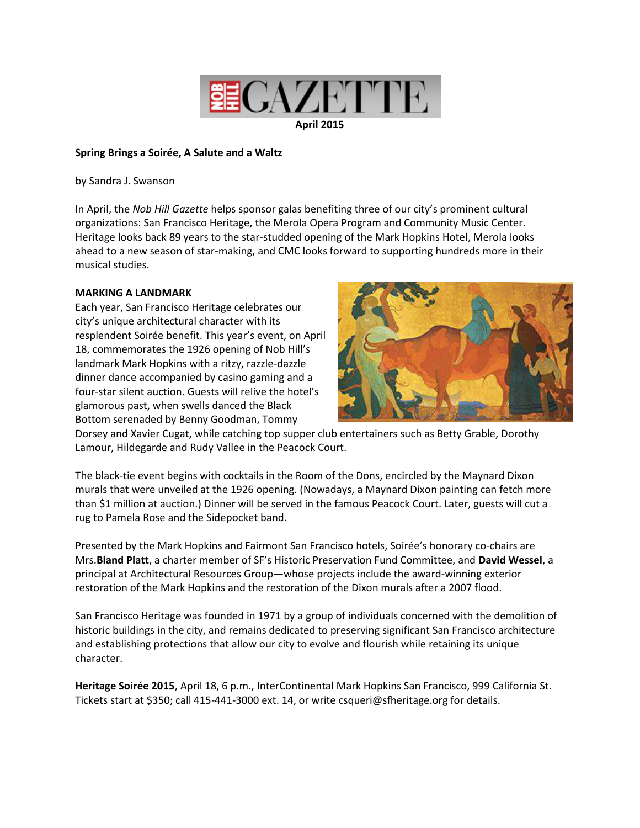

### **April 2015**

# **Spring Brings a Soirée, A Salute and a Waltz**

by Sandra J. Swanson

In April, the *Nob Hill Gazette* helps sponsor galas benefiting three of our city's prominent cultural organizations: San Francisco Heritage, the Merola Opera Program and Community Music Center. Heritage looks back 89 years to the star-studded opening of the Mark Hopkins Hotel, Merola looks ahead to a new season of star-making, and CMC looks forward to supporting hundreds more in their musical studies.

# **MARKING A LANDMARK**

Each year, San Francisco Heritage celebrates our city's unique architectural character with its resplendent Soirée benefit. This year's event, on April 18, commemorates the 1926 opening of Nob Hill's landmark Mark Hopkins with a ritzy, razzle-dazzle dinner dance accompanied by casino gaming and a four-star silent auction. Guests will relive the hotel's glamorous past, when swells danced the Black Bottom serenaded by Benny Goodman, Tommy



Dorsey and Xavier Cugat, while catching top supper club entertainers such as Betty Grable, Dorothy Lamour, Hildegarde and Rudy Vallee in the Peacock Court.

The black-tie event begins with cocktails in the Room of the Dons, encircled by the Maynard Dixon murals that were unveiled at the 1926 opening. (Nowadays, a Maynard Dixon painting can fetch more than \$1 million at auction.) Dinner will be served in the famous Peacock Court. Later, guests will cut a rug to Pamela Rose and the Sidepocket band.

Presented by the Mark Hopkins and Fairmont San Francisco hotels, Soirée's honorary co-chairs are Mrs.**Bland Platt**, a charter member of SF's Historic Preservation Fund Committee, and **David Wessel**, a principal at Architectural Resources Group—whose projects include the award-winning exterior restoration of the Mark Hopkins and the restoration of the Dixon murals after a 2007 flood.

San Francisco Heritage was founded in 1971 by a group of individuals concerned with the demolition of historic buildings in the city, and remains dedicated to preserving significant San Francisco architecture and establishing protections that allow our city to evolve and flourish while retaining its unique character.

**Heritage Soirée 2015**, April 18, 6 p.m., InterContinental Mark Hopkins San Francisco, 999 California St. Tickets start at \$350; call 415-441-3000 ext. 14, or write csqueri@sfheritage.org for details.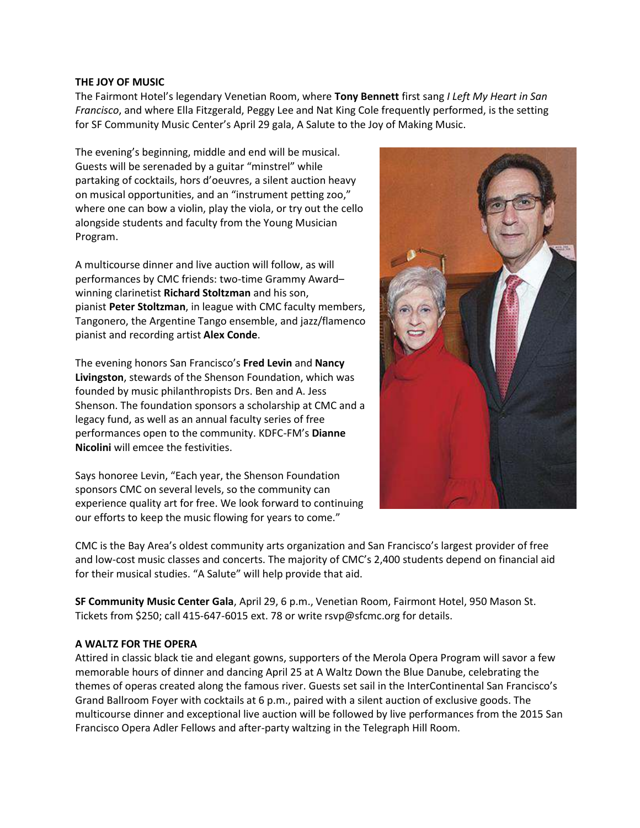### THE JOY OF MUSIC

The Fairmont Hotel's legendary Venetian Room, where Tony Bennett first sang I Left My Heart in San Francisco, and where Ella Fitzgerald, Peggy Lee and Nat King Cole frequently performed, is the setting for SF Community Music Center's April 29 gala, A Salute to the Joy of Making Music.

The evening's beginning, middle and end will be musical. Guests will be serenaded by a guitar "minstrel" while partaking of cocktails, hors d'oeuvres, a silent auction heavy on musical opportunities, and an "instrument petting zoo," where one can bow a violin, play the viola, or try out the cello alongside students and faculty from the Young Musician Program.

A multicourse dinner and live auction will follow, as will performances by CMC friends: two-time Grammy Awardwinning clarinetist Richard Stoltzman and his son, pianist Peter Stoltzman, in league with CMC faculty members, Tangonero, the Argentine Tango ensemble, and jazz/flamenco pianist and recording artist Alex Conde.

The evening honors San Francisco's Fred Levin and Nancy Livingston, stewards of the Shenson Foundation, which was founded by music philanthropists Drs. Ben and A. Jess Shenson. The foundation sponsors a scholarship at CMC and a legacy fund, as well as an annual faculty series of free performances open to the community. KDFC-FM's Dianne Nicolini will emcee the festivities.

Says honoree Levin, "Each year, the Shenson Foundation sponsors CMC on several levels, so the community can experience quality art for free. We look forward to continuing our efforts to keep the music flowing for years to come."



CMC is the Bay Area's oldest community arts organization and San Francisco's largest provider of free and low-cost music classes and concerts. The majority of CMC's 2,400 students depend on financial aid for their musical studies. "A Salute" will help provide that aid.

SF Community Music Center Gala, April 29, 6 p.m., Venetian Room, Fairmont Hotel, 950 Mason St. Tickets from \$250; call 415-647-6015 ext. 78 or write rsvp@sfcmc.org for details.

# A WALTZ FOR THE OPERA

Attired in classic black tie and elegant gowns, supporters of the Merola Opera Program will savor a few memorable hours of dinner and dancing April 25 at A Waltz Down the Blue Danube, celebrating the themes of operas created along the famous river. Guests set sail in the InterContinental San Francisco's Grand Ballroom Foyer with cocktails at 6 p.m., paired with a silent auction of exclusive goods. The multicourse dinner and exceptional live auction will be followed by live performances from the 2015 San Francisco Opera Adler Fellows and after-party waltzing in the Telegraph Hill Room.